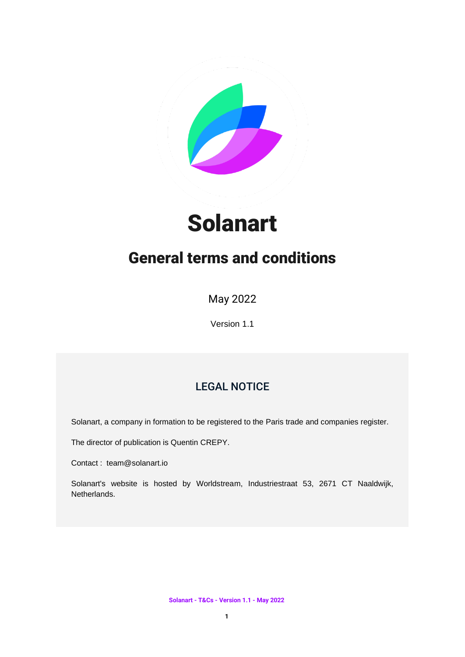

# Solanart

## General terms and conditions

May 2022

Version 1.1

## LEGAL NOTICE

Solanart, a company in formation to be registered to the Paris trade and companies register.

The director of publication is Quentin CREPY.

Contact : team@solanart.io

Solanart's website is hosted by Worldstream, Industriestraat 53, 2671 CT Naaldwijk, Netherlands.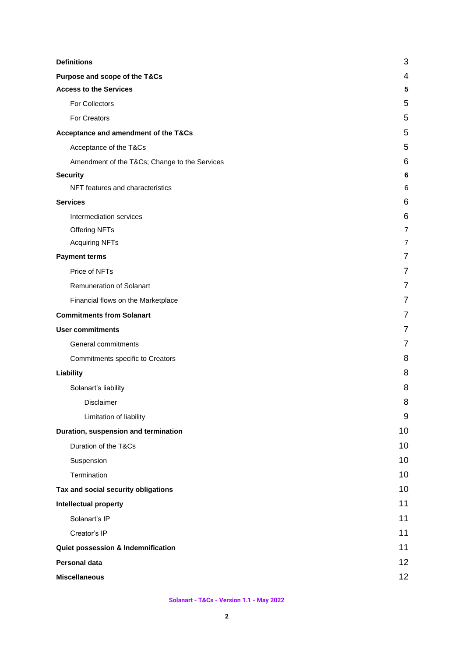| <b>Definitions</b>                           | 3  |
|----------------------------------------------|----|
| Purpose and scope of the T&Cs                | 4  |
| <b>Access to the Services</b>                | 5  |
| For Collectors                               | 5  |
| <b>For Creators</b>                          | 5  |
| Acceptance and amendment of the T&Cs         | 5  |
| Acceptance of the T&Cs                       | 5  |
| Amendment of the T&Cs Change to the Services | 6  |
| <b>Security</b>                              | 6  |
| NFT features and characteristics             | 6  |
| <b>Services</b>                              | 6  |
| Intermediation services                      | 6  |
| Offering NFTs                                | 7  |
| <b>Acquiring NFTs</b>                        | 7  |
| <b>Payment terms</b>                         | 7  |
| Price of NFTs                                | 7  |
| Remuneration of Solanart                     | 7  |
| Financial flows on the Marketplace           | 7  |
| <b>Commitments from Solanart</b>             | 7  |
| <b>User commitments</b>                      | 7  |
| General commitments                          | 7  |
| Commitments specific to Creators             | 8  |
| Liability                                    | 8  |
| Solanart's liability                         | 8  |
| Disclaimer                                   | 8  |
| Limitation of liability                      | 9  |
| Duration, suspension and termination         | 10 |
| Duration of the T&Cs                         | 10 |
| Suspension                                   | 10 |
| Termination                                  | 10 |
| Tax and social security obligations          | 10 |
| <b>Intellectual property</b>                 | 11 |
| Solanart's IP                                | 11 |
| Creator's IP                                 | 11 |
| Quiet possession & Indemnification           | 11 |
| <b>Personal data</b>                         | 12 |
| <b>Miscellaneous</b>                         | 12 |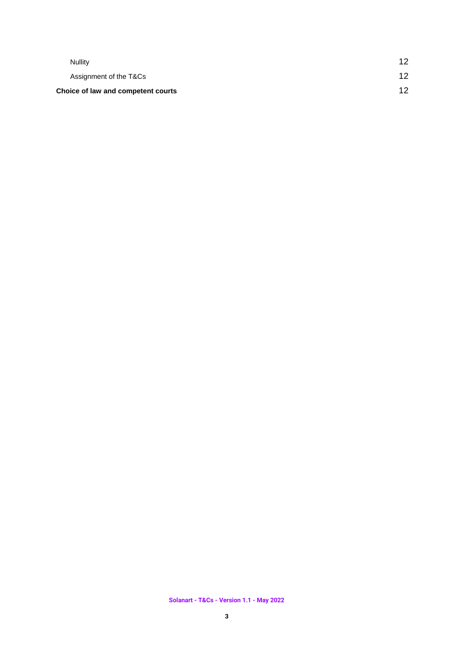| 12<br>12 |
|----------|
|          |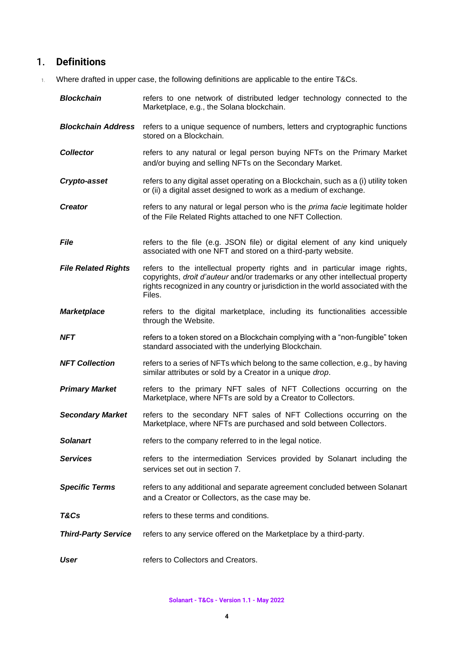## <span id="page-3-0"></span>1. **Definitions**

1. Where drafted in upper case, the following definitions are applicable to the entire T&Cs.

| <b>Blockchain</b>          | refers to one network of distributed ledger technology connected to the<br>Marketplace, e.g., the Solana blockchain.                                                                                                                                         |
|----------------------------|--------------------------------------------------------------------------------------------------------------------------------------------------------------------------------------------------------------------------------------------------------------|
| <b>Blockchain Address</b>  | refers to a unique sequence of numbers, letters and cryptographic functions<br>stored on a Blockchain.                                                                                                                                                       |
| <b>Collector</b>           | refers to any natural or legal person buying NFTs on the Primary Market<br>and/or buying and selling NFTs on the Secondary Market.                                                                                                                           |
| Crypto-asset               | refers to any digital asset operating on a Blockchain, such as a (i) utility token<br>or (ii) a digital asset designed to work as a medium of exchange.                                                                                                      |
| <b>Creator</b>             | refers to any natural or legal person who is the <i>prima facie</i> legitimate holder<br>of the File Related Rights attached to one NFT Collection.                                                                                                          |
| <b>File</b>                | refers to the file (e.g. JSON file) or digital element of any kind uniquely<br>associated with one NFT and stored on a third-party website.                                                                                                                  |
| <b>File Related Rights</b> | refers to the intellectual property rights and in particular image rights,<br>copyrights, droit d'auteur and/or trademarks or any other intellectual property<br>rights recognized in any country or jurisdiction in the world associated with the<br>Files. |
| <b>Marketplace</b>         | refers to the digital marketplace, including its functionalities accessible<br>through the Website.                                                                                                                                                          |
| <b>NFT</b>                 | refers to a token stored on a Blockchain complying with a "non-fungible" token<br>standard associated with the underlying Blockchain.                                                                                                                        |
| <b>NFT Collection</b>      | refers to a series of NFTs which belong to the same collection, e.g., by having<br>similar attributes or sold by a Creator in a unique drop.                                                                                                                 |
| <b>Primary Market</b>      | refers to the primary NFT sales of NFT Collections occurring on the<br>Marketplace, where NFTs are sold by a Creator to Collectors.                                                                                                                          |
| <b>Secondary Market</b>    | refers to the secondary NFT sales of NFT Collections occurring on the<br>Marketplace, where NFTs are purchased and sold between Collectors.                                                                                                                  |
| <b>Solanart</b>            | refers to the company referred to in the legal notice.                                                                                                                                                                                                       |
| <b>Services</b>            | refers to the intermediation Services provided by Solanart including the<br>services set out in section 7.                                                                                                                                                   |
| <b>Specific Terms</b>      | refers to any additional and separate agreement concluded between Solanart<br>and a Creator or Collectors, as the case may be.                                                                                                                               |
| T&Cs                       | refers to these terms and conditions.                                                                                                                                                                                                                        |
| <b>Third-Party Service</b> | refers to any service offered on the Marketplace by a third-party.                                                                                                                                                                                           |
| User                       | refers to Collectors and Creators.                                                                                                                                                                                                                           |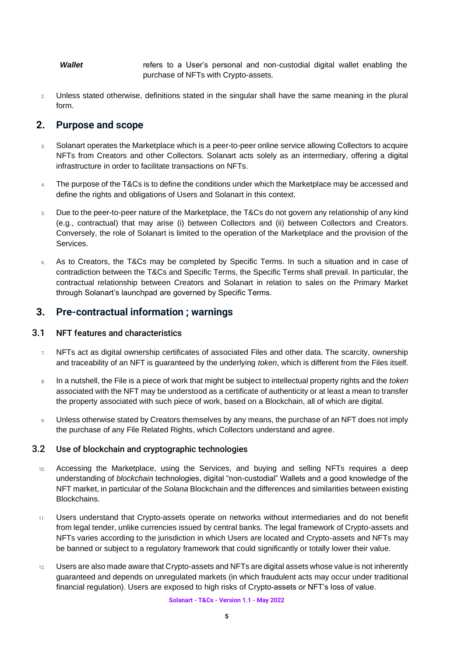*Wallet* refers to a User's personal and non-custodial digital wallet enabling the purchase of NFTs with Crypto-assets.

2. Unless stated otherwise, definitions stated in the singular shall have the same meaning in the plural form.

## <span id="page-4-0"></span>**2. Purpose and scope**

- 3. Solanart operates the Marketplace which is a peer-to-peer online service allowing Collectors to acquire NFTs from Creators and other Collectors. Solanart acts solely as an intermediary, offering a digital infrastructure in order to facilitate transactions on NFTs.
- 4. The purpose of the T&Cs is to define the conditions under which the Marketplace may be accessed and define the rights and obligations of Users and Solanart in this context.
- 5. Due to the peer-to-peer nature of the Marketplace, the T&Cs do not govern any relationship of any kind (e.g., contractual) that may arise (i) between Collectors and (ii) between Collectors and Creators. Conversely, the role of Solanart is limited to the operation of the Marketplace and the provision of the Services.
- 6. As to Creators, the T&Cs may be completed by Specific Terms. In such a situation and in case of contradiction between the T&Cs and Specific Terms, the Specific Terms shall prevail. In particular, the contractual relationship between Creators and Solanart in relation to sales on the Primary Market through Solanart's launchpad are governed by Specific Terms.

## **3. Pre-contractual information ; warnings**

#### 3.1 NFT features and characteristics

- 7. NFTs act as digital ownership certificates of associated Files and other data. The scarcity, ownership and traceability of an NFT is guaranteed by the underlying *token*, which is different from the Files itself.
- 8. In a nutshell, the File is a piece of work that might be subject to intellectual property rights and the *token* associated with the NFT may be understood as a certificate of authenticity or at least a mean to transfer the property associated with such piece of work, based on a Blockchain, all of which are digital.
- 9. Unless otherwise stated by Creators themselves by any means, the purchase of an NFT does not imply the purchase of any File Related Rights, which Collectors understand and agree.

#### 3.2 Use of blockchain and cryptographic technologies

- 10. Accessing the Marketplace, using the Services, and buying and selling NFTs requires a deep understanding of *blockchain* technologies, digital "non-custodial" Wallets and a good knowledge of the NFT market, in particular of the *Solana* Blockchain and the differences and similarities between existing Blockchains.
- 11. Users understand that Crypto-assets operate on networks without intermediaries and do not benefit from legal tender, unlike currencies issued by central banks. The legal framework of Crypto-assets and NFTs varies according to the jurisdiction in which Users are located and Crypto-assets and NFTs may be banned or subject to a regulatory framework that could significantly or totally lower their value.
- 12. Users are also made aware that Crypto-assets and NFTs are digital assets whose value is not inherently guaranteed and depends on unregulated markets (in which fraudulent acts may occur under traditional financial regulation). Users are exposed to high risks of Crypto-assets or NFT's loss of value.

**Solanart - T&Cs - Version 1.1 - May 2022**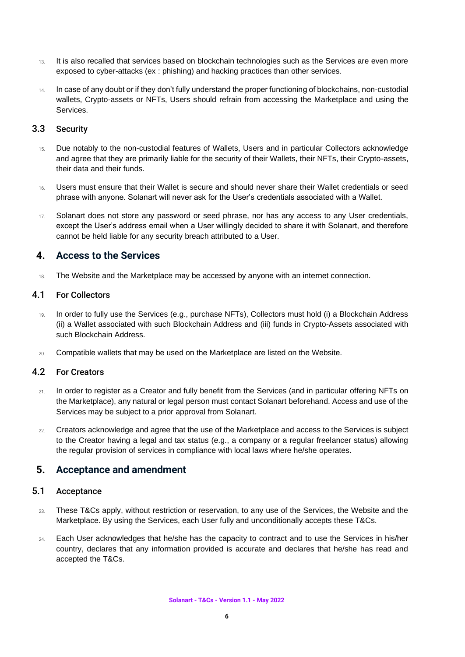- 13. It is also recalled that services based on blockchain technologies such as the Services are even more exposed to cyber-attacks (ex : phishing) and hacking practices than other services.
- 14. In case of any doubt or if they don't fully understand the proper functioning of blockchains, non-custodial wallets, Crypto-assets or NFTs, Users should refrain from accessing the Marketplace and using the **Services**

## 3.3 Security

- 15. Due notably to the non-custodial features of Wallets, Users and in particular Collectors acknowledge and agree that they are primarily liable for the security of their Wallets, their NFTs, their Crypto-assets, their data and their funds.
- 16. Users must ensure that their Wallet is secure and should never share their Wallet credentials or seed phrase with anyone. Solanart will never ask for the User's credentials associated with a Wallet.
- 17. Solanart does not store any password or seed phrase, nor has any access to any User credentials, except the User's address email when a User willingly decided to share it with Solanart, and therefore cannot be held liable for any security breach attributed to a User.

## **4. Access to the Services**

18. The Website and the Marketplace may be accessed by anyone with an internet connection.

#### <span id="page-5-0"></span>4.1 For Collectors

- 19. In order to fully use the Services (e.g., purchase NFTs), Collectors must hold (i) a Blockchain Address (ii) a Wallet associated with such Blockchain Address and (iii) funds in Crypto-Assets associated with such Blockchain Address.
- 20. Compatible wallets that may be used on the Marketplace are listed on the Website.

#### <span id="page-5-1"></span>4.2 For Creators

- 21. In order to register as a Creator and fully benefit from the Services (and in particular offering NFTs on the Marketplace), any natural or legal person must contact Solanart beforehand. Access and use of the Services may be subject to a prior approval from Solanart.
- 22. Creators acknowledge and agree that the use of the Marketplace and access to the Services is subject to the Creator having a legal and tax status (e.g., a company or a regular freelancer status) allowing the regular provision of services in compliance with local laws where he/she operates.

## <span id="page-5-2"></span>**5. Acceptance and amendment**

#### <span id="page-5-3"></span>5.1 Acceptance

- 23. These T&Cs apply, without restriction or reservation, to any use of the Services, the Website and the Marketplace. By using the Services, each User fully and unconditionally accepts these T&Cs.
- 24. Each User acknowledges that he/she has the capacity to contract and to use the Services in his/her country, declares that any information provided is accurate and declares that he/she has read and accepted the T&Cs.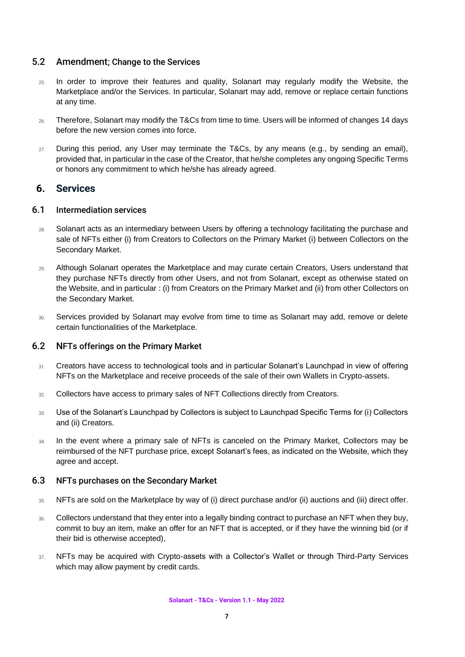## <span id="page-6-0"></span>5.2 Amendment; Change to the Services

- 25. In order to improve their features and quality, Solanart may regularly modify the Website, the Marketplace and/or the Services. In particular, Solanart may add, remove or replace certain functions at any time.
- 26. Therefore, Solanart may modify the T&Cs from time to time. Users will be informed of changes 14 days before the new version comes into force.
- 27. During this period, any User may terminate the T&Cs, by any means (e.g., by sending an email), provided that, in particular in the case of the Creator, that he/she completes any ongoing Specific Terms or honors any commitment to which he/she has already agreed.

## <span id="page-6-1"></span>**6. Services**

## <span id="page-6-2"></span>6.1 Intermediation services

- 28. Solanart acts as an intermediary between Users by offering a technology facilitating the purchase and sale of NFTs either (i) from Creators to Collectors on the Primary Market (i) between Collectors on the Secondary Market.
- 29. Although Solanart operates the Marketplace and may curate certain Creators, Users understand that they purchase NFTs directly from other Users, and not from Solanart, except as otherwise stated on the Website, and in particular : (i) from Creators on the Primary Market and (ii) from other Collectors on the Secondary Market.
- 30. Services provided by Solanart may evolve from time to time as Solanart may add, remove or delete certain functionalities of the Marketplace.

#### 6.2 NFTs offerings on the Primary Market

- 31. Creators have access to technological tools and in particular Solanart's Launchpad in view of offering NFTs on the Marketplace and receive proceeds of the sale of their own Wallets in Crypto-assets.
- 32. Collectors have access to primary sales of NFT Collections directly from Creators.
- 33. Use of the Solanart's Launchpad by Collectors is subject to Launchpad Specific Terms for (i) Collectors and (ii) Creators.
- 34. In the event where a primary sale of NFTs is canceled on the Primary Market, Collectors may be reimbursed of the NFT purchase price, except Solanart's fees, as indicated on the Website, which they agree and accept.

#### 6.3 NFTs purchases on the Secondary Market

- 35. NFTs are sold on the Marketplace by way of (i) direct purchase and/or (ii) auctions and (iii) direct offer.
- 36. Collectors understand that they enter into a legally binding contract to purchase an NFT when they buy, commit to buy an item, make an offer for an NFT that is accepted, or if they have the winning bid (or if their bid is otherwise accepted),
- 37. NFTs may be acquired with Crypto-assets with a Collector's Wallet or through Third-Party Services which may allow payment by credit cards.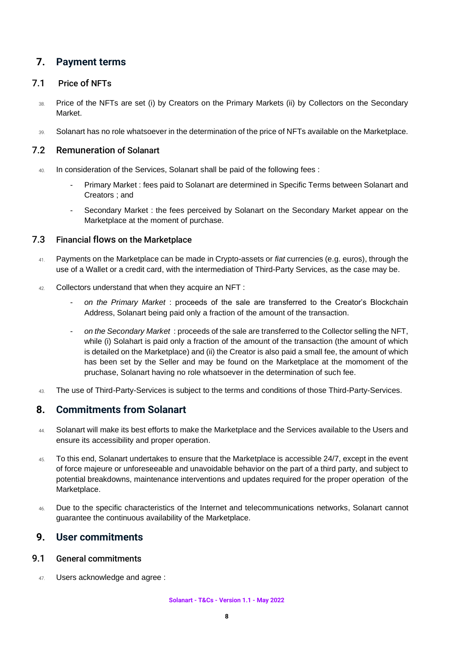## <span id="page-7-0"></span>**7. Payment terms**

## <span id="page-7-1"></span>7.1 Price of NFTs

- 38. Price of the NFTs are set (i) by Creators on the Primary Markets (ii) by Collectors on the Secondary Market.
- 39. Solanart has no role whatsoever in the determination of the price of NFTs available on the Marketplace.

## <span id="page-7-2"></span>7.2 Remuneration of Solanart

- 40. In consideration of the Services, Solanart shall be paid of the following fees :
	- Primary Market : fees paid to Solanart are determined in Specific Terms between Solanart and Creators ; and
	- Secondary Market : the fees perceived by Solanart on the Secondary Market appear on the Marketplace at the moment of purchase.

## <span id="page-7-3"></span>7.3 Financial flows on the Marketplace

- 41. Payments on the Marketplace can be made in Crypto-assets or *fiat* currencies (e.g. euros), through the use of a Wallet or a credit card, with the intermediation of Third-Party Services, as the case may be.
- 42. Collectors understand that when they acquire an NFT :
	- *on the Primary Market* : proceeds of the sale are transferred to the Creator's Blockchain Address, Solanart being paid only a fraction of the amount of the transaction.
	- *on the Secondary Market* : proceeds of the sale are transferred to the Collector selling the NFT, while (i) Solahart is paid only a fraction of the amount of the transaction (the amount of which is detailed on the Marketplace) and (ii) the Creator is also paid a small fee, the amount of which has been set by the Seller and may be found on the Marketplace at the momoment of the pruchase, Solanart having no role whatsoever in the determination of such fee.
- 43. The use of Third-Party-Services is subject to the terms and conditions of those Third-Party-Services.

## <span id="page-7-4"></span>**8. Commitments from Solanart**

- 44. Solanart will make its best efforts to make the Marketplace and the Services available to the Users and ensure its accessibility and proper operation.
- 45. To this end, Solanart undertakes to ensure that the Marketplace is accessible 24/7, except in the event of force majeure or unforeseeable and unavoidable behavior on the part of a third party, and subject to potential breakdowns, maintenance interventions and updates required for the proper operation of the Marketplace.
- 46. Due to the specific characteristics of the Internet and telecommunications networks, Solanart cannot guarantee the continuous availability of the Marketplace.

## <span id="page-7-5"></span>**9. User commitments**

#### <span id="page-7-6"></span>9.1 General commitments

47. Users acknowledge and agree :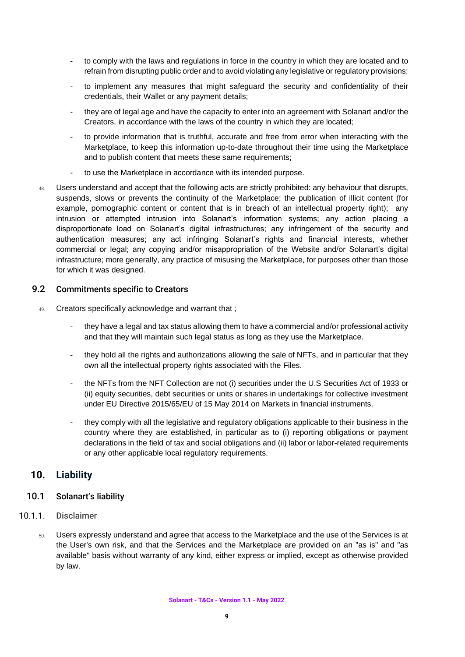- to comply with the laws and regulations in force in the country in which they are located and to refrain from disrupting public order and to avoid violating any legislative or regulatory provisions;
- to implement any measures that might safeguard the security and confidentiality of their credentials, their Wallet or any payment details;
- they are of legal age and have the capacity to enter into an agreement with Solanart and/or the Creators, in accordance with the laws of the country in which they are located;
- to provide information that is truthful, accurate and free from error when interacting with the Marketplace, to keep this information up-to-date throughout their time using the Marketplace and to publish content that meets these same requirements;
- to use the Marketplace in accordance with its intended purpose.
- 48. Users understand and accept that the following acts are strictly prohibited: any behaviour that disrupts, suspends, slows or prevents the continuity of the Marketplace; the publication of illicit content (for example, pornographic content or content that is in breach of an intellectual property right); any intrusion or attempted intrusion into Solanart's information systems; any action placing a disproportionate load on Solanart's digital infrastructures; any infringement of the security and authentication measures; any act infringing Solanart's rights and financial interests, whether commercial or legal; any copying and/or misappropriation of the Website and/or Solanart's digital infrastructure; more generally, any practice of misusing the Marketplace, for purposes other than those for which it was designed.

#### <span id="page-8-0"></span>9.2 Commitments specific to Creators

- 49. Creators specifically acknowledge and warrant that ;
	- they have a legal and tax status allowing them to have a commercial and/or professional activity and that they will maintain such legal status as long as they use the Marketplace.
	- they hold all the rights and authorizations allowing the sale of NFTs, and in particular that they own all the intellectual property rights associated with the Files.
	- the NFTs from the NFT Collection are not (i) securities under the U.S Securities Act of 1933 or (ii) equity securities, debt securities or units or shares in undertakings for collective investment under EU Directive 2015/65/EU of 15 May 2014 on Markets in financial instruments.
	- they comply with all the legislative and regulatory obligations applicable to their business in the country where they are established, in particular as to (i) reporting obligations or payment declarations in the field of tax and social obligations and (ii) labor or labor-related requirements or any other applicable local regulatory requirements.

## <span id="page-8-1"></span>**10. Liability**

#### <span id="page-8-2"></span>10.1 Solanart's liability

#### 10.1.1. Disclaimer

<span id="page-8-3"></span>50. Users expressly understand and agree that access to the Marketplace and the use of the Services is at the User's own risk, and that the Services and the Marketplace are provided on an "as is" and "as available" basis without warranty of any kind, either express or implied, except as otherwise provided by law.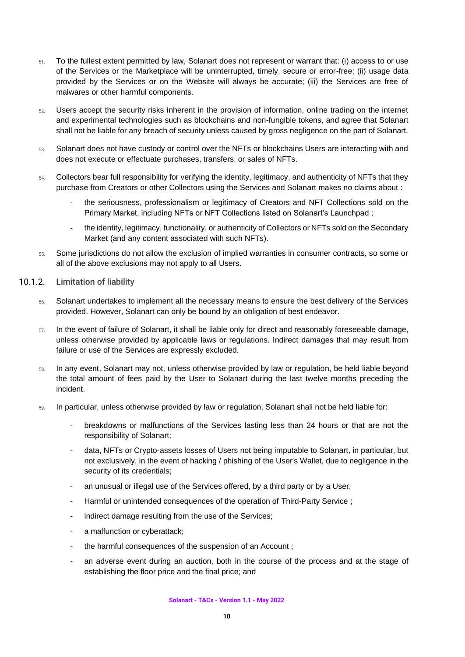- 51. To the fullest extent permitted by law, Solanart does not represent or warrant that: (i) access to or use of the Services or the Marketplace will be uninterrupted, timely, secure or error-free; (ii) usage data provided by the Services or on the Website will always be accurate; (iii) the Services are free of malwares or other harmful components.
- 52. Users accept the security risks inherent in the provision of information, online trading on the internet and experimental technologies such as blockchains and non-fungible tokens, and agree that Solanart shall not be liable for any breach of security unless caused by gross negligence on the part of Solanart.
- 53. Solanart does not have custody or control over the NFTs or blockchains Users are interacting with and does not execute or effectuate purchases, transfers, or sales of NFTs.
- 54. Collectors bear full responsibility for verifying the identity, legitimacy, and authenticity of NFTs that they purchase from Creators or other Collectors using the Services and Solanart makes no claims about :
	- the seriousness, professionalism or legitimacy of Creators and NFT Collections sold on the Primary Market, including NFTs or NFT Collections listed on Solanart's Launchpad ;
	- the identity, legitimacy, functionality, or authenticity of Collectors or NFTs sold on the Secondary Market (and any content associated with such NFTs).
- <span id="page-9-0"></span>55. Some jurisdictions do not allow the exclusion of implied warranties in consumer contracts, so some or all of the above exclusions may not apply to all Users.
- 10.1.2. Limitation of liability
	- 56. Solanart undertakes to implement all the necessary means to ensure the best delivery of the Services provided. However, Solanart can only be bound by an obligation of best endeavor.
	- 57. In the event of failure of Solanart, it shall be liable only for direct and reasonably foreseeable damage, unless otherwise provided by applicable laws or regulations. Indirect damages that may result from failure or use of the Services are expressly excluded.
	- 58. In any event, Solanart may not, unless otherwise provided by law or regulation, be held liable beyond the total amount of fees paid by the User to Solanart during the last twelve months preceding the incident.
	- 59. In particular, unless otherwise provided by law or regulation, Solanart shall not be held liable for:
		- breakdowns or malfunctions of the Services lasting less than 24 hours or that are not the responsibility of Solanart;
		- data, NFTs or Crypto-assets losses of Users not being imputable to Solanart, in particular, but not exclusively, in the event of hacking / phishing of the User's Wallet, due to negligence in the security of its credentials;
		- an unusual or illegal use of the Services offered, by a third party or by a User;
		- Harmful or unintended consequences of the operation of Third-Party Service ;
		- indirect damage resulting from the use of the Services;
		- a malfunction or cyberattack;
		- the harmful consequences of the suspension of an Account;
		- an adverse event during an auction, both in the course of the process and at the stage of establishing the floor price and the final price; and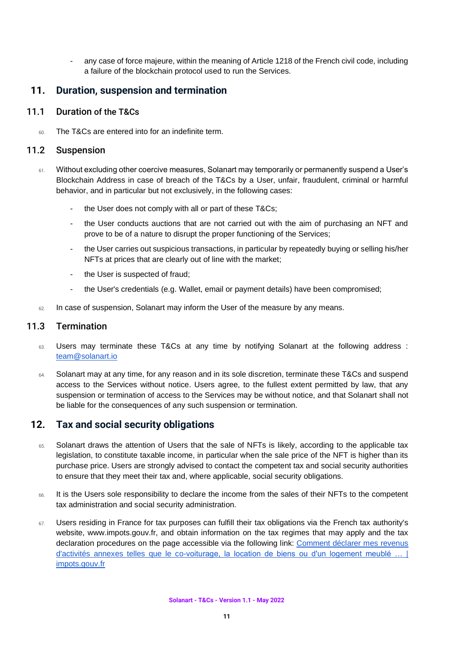any case of force majeure, within the meaning of Article 1218 of the French civil code, including a failure of the blockchain protocol used to run the Services.

## <span id="page-10-0"></span>**11. Duration, suspension and termination**

#### 11.1 Duration of the T&Cs

<span id="page-10-2"></span><span id="page-10-1"></span>60. The T&Cs are entered into for an indefinite term.

#### 11.2 Suspension

- 61. Without excluding other coercive measures, Solanart may temporarily or permanently suspend a User's Blockchain Address in case of breach of the T&Cs by a User, unfair, fraudulent, criminal or harmful behavior, and in particular but not exclusively, in the following cases:
	- the User does not comply with all or part of these T&Cs;
	- the User conducts auctions that are not carried out with the aim of purchasing an NFT and prove to be of a nature to disrupt the proper functioning of the Services;
	- the User carries out suspicious transactions, in particular by repeatedly buying or selling his/her NFTs at prices that are clearly out of line with the market;
	- the User is suspected of fraud;
	- the User's credentials (e.g. Wallet, email or payment details) have been compromised;
- $62$  In case of suspension, Solanart may inform the User of the measure by any means.

## 11.3 Termination

- <span id="page-10-3"></span>63. Users may terminate these T&Cs at any time by notifying Solanart at the following address : [team@solanart.io](mailto:team@solanart.io)
- 64. Solanart may at any time, for any reason and in its sole discretion, terminate these T&Cs and suspend access to the Services without notice. Users agree, to the fullest extent permitted by law, that any suspension or termination of access to the Services may be without notice, and that Solanart shall not be liable for the consequences of any such suspension or termination.

## <span id="page-10-4"></span>**12. Tax and social security obligations**

- 65. Solanart draws the attention of Users that the sale of NFTs is likely, according to the applicable tax legislation, to constitute taxable income, in particular when the sale price of the NFT is higher than its purchase price. Users are strongly advised to contact the competent tax and social security authorities to ensure that they meet their tax and, where applicable, social security obligations.
- 66. It is the Users sole responsibility to declare the income from the sales of their NFTs to the competent tax administration and social security administration.
- 67. Users residing in France for tax purposes can fulfill their tax obligations via the French tax authority's website, [www.impots.gouv.fr,](http://www.impots.gouv.fr/) and obtain information on the tax regimes that may apply and the tax declaration procedures on the page accessible via the following link: [Comment déclarer mes revenus](https://www.impots.gouv.fr/portail/node/10841)  d'activités annexes telles que le co-voiturage, la location de biens ou d'un logement meublé [impots.gouv.fr](https://www.impots.gouv.fr/portail/node/10841)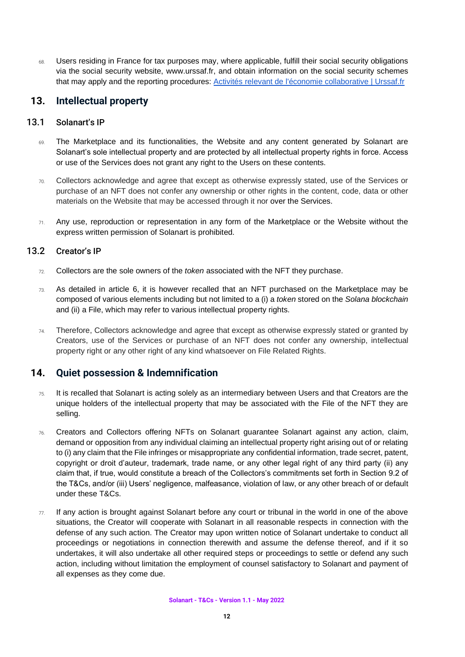68. Users residing in France for tax purposes may, where applicable, fulfill their social security obligations via the social security website, [www.urssaf.fr,](http://www.urssaf.fr/) and obtain information on the social security schemes that may apply and the reporting procedures: [Activités relevant de l'économie collaborative | Urssaf.fr](https://www.urssaf.fr/portail/home/espaces-dedies/activites-relevant-de-leconomie.html)

## <span id="page-11-0"></span>**13. Intellectual property**

#### 13.1 Solanart's IP

- <span id="page-11-1"></span>69. The Marketplace and its functionalities, the Website and any content generated by Solanart are Solanart's sole intellectual property and are protected by all intellectual property rights in force. Access or use of the Services does not grant any right to the Users on these contents.
- 70. Collectors acknowledge and agree that except as otherwise expressly stated, use of the Services or purchase of an NFT does not confer any ownership or other rights in the content, code, data or other materials on the Website that may be accessed through it nor over the Services.
- 71. Any use, reproduction or representation in any form of the Marketplace or the Website without the express written permission of Solanart is prohibited.

## 13.2 Creator's IP

- <span id="page-11-2"></span>72. Collectors are the sole owners of the *token* associated with the NFT they purchase.
- 73. As detailed in article 6, it is however recalled that an NFT purchased on the Marketplace may be composed of various elements including but not limited to a (i) a *token* stored on the *Solana blockchain*  and (ii) a File, which may refer to various intellectual property rights.
- 74. Therefore, Collectors acknowledge and agree that except as otherwise expressly stated or granted by Creators, use of the Services or purchase of an NFT does not confer any ownership, intellectual property right or any other right of any kind whatsoever on File Related Rights.

## <span id="page-11-3"></span>**14. Quiet possession & Indemnification**

- 75. It is recalled that Solanart is acting solely as an intermediary between Users and that Creators are the unique holders of the intellectual property that may be associated with the File of the NFT they are selling.
- 76. Creators and Collectors offering NFTs on Solanart guarantee Solanart against any action, claim, demand or opposition from any individual claiming an intellectual property right arising out of or relating to (i) any claim that the File infringes or misappropriate any confidential information, trade secret, patent, copyright or droit d'auteur, trademark, trade name, or any other legal right of any third party (ii) any claim that, if true, would constitute a breach of the Collectors's commitments set forth in Section 9.2 of the T&Cs, and/or (iii) Users' negligence, malfeasance, violation of law, or any other breach of or default under these T&Cs.
- $77.$  If any action is brought against Solanart before any court or tribunal in the world in one of the above situations, the Creator will cooperate with Solanart in all reasonable respects in connection with the defense of any such action. The Creator may upon written notice of Solanart undertake to conduct all proceedings or negotiations in connection therewith and assume the defense thereof, and if it so undertakes, it will also undertake all other required steps or proceedings to settle or defend any such action, including without limitation the employment of counsel satisfactory to Solanart and payment of all expenses as they come due.